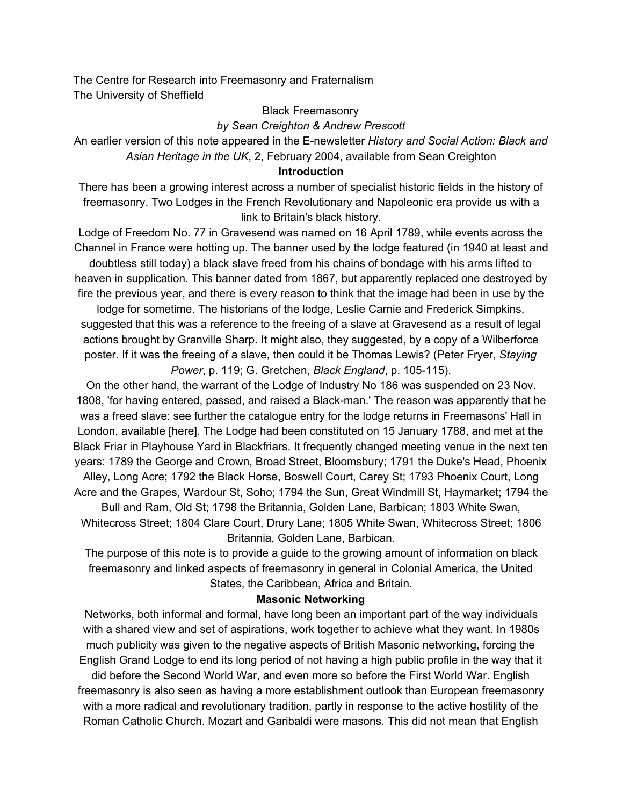The Centre for Research into Freemasonry and Fraternalism The University of Sheffield

#### Black Freemasonry

### *by Sean Creighton & Andrew Prescott*

An earlier version of this note appeared in the E-newsletter *History and Social Action: Black and Asian Heritage in the UK*, 2, February 2004, available from Sean Creighton

#### **Introduction**

There has been a growing interest across a number of specialist historic fields in the history of freemasonry. Two Lodges in the French Revolutionary and Napoleonic era provide us with a link to Britain's black history.

Lodge of Freedom No. 77 in Gravesend was named on 16 April 1789, while events across the Channel in France were hotting up. The banner used by the lodge featured (in 1940 at least and doubtless still today) a black slave freed from his chains of bondage with his arms lifted to heaven in supplication. This banner dated from 1867, but apparently replaced one destroyed by fire the previous year, and there is every reason to think that the image had been in use by the lodge for sometime. The historians of the lodge, Leslie Carnie and Frederick Simpkins,

suggested that this was a reference to the freeing of a slave at Gravesend as a result of legal actions brought by Granville Sharp. It might also, they suggested, by a copy of a Wilberforce poster. If it was the freeing of a slave, then could it be Thomas Lewis? (Peter Fryer, *Staying Power*, p. 119; G. Gretchen, *Black England*, p. 105-115).

On the other hand, the warrant of the Lodge of Industry No 186 was suspended on 23 Nov. 1808, 'for having entered, passed, and raised a Black-man.' The reason was apparently that he was a freed slave: see further the catalogue entry for the lodge returns in Freemasons' Hall in London, available [here]. The Lodge had been constituted on 15 January 1788, and met at the Black Friar in Playhouse Yard in Blackfriars. It frequently changed meeting venue in the next ten years: 1789 the George and Crown, Broad Street, Bloomsbury; 1791 the Duke's Head, Phoenix Alley, Long Acre; 1792 the Black Horse, Boswell Court, Carey St; 1793 Phoenix Court, Long Acre and the Grapes, Wardour St, Soho; 1794 the Sun, Great Windmill St, Haymarket; 1794 the

Bull and Ram, Old St; 1798 the Britannia, Golden Lane, Barbican; 1803 White Swan, Whitecross Street; 1804 Clare Court, Drury Lane; 1805 White Swan, Whitecross Street; 1806 Britannia, Golden Lane, Barbican.

The purpose of this note is to provide a guide to the growing amount of information on black freemasonry and linked aspects of freemasonry in general in Colonial America, the United States, the Caribbean, Africa and Britain.

### **Masonic Networking**

Networks, both informal and formal, have long been an important part of the way individuals with a shared view and set of aspirations, work together to achieve what they want. In 1980s much publicity was given to the negative aspects of British Masonic networking, forcing the English Grand Lodge to end its long period of not having a high public profile in the way that it did before the Second World War, and even more so before the First World War. English freemasonry is also seen as having a more establishment outlook than European freemasonry with a more radical and revolutionary tradition, partly in response to the active hostility of the Roman Catholic Church. Mozart and Garibaldi were masons. This did not mean that English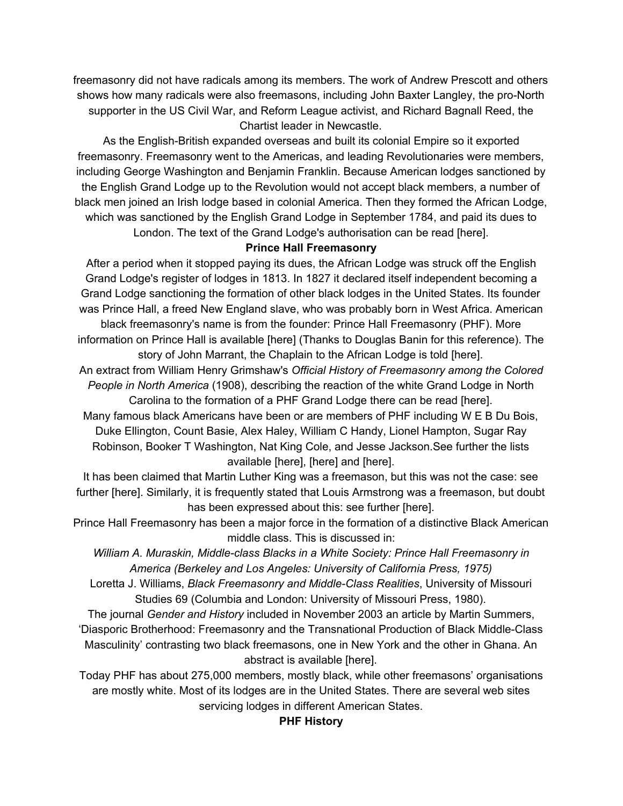freemasonry did not have radicals among its members. The work of Andrew Prescott and others shows how many radicals were also freemasons, including John Baxter Langley, the pro-North supporter in the US Civil War, and Reform League activist, and Richard Bagnall Reed, the Chartist leader in Newcastle.

As the English-British expanded overseas and built its colonial Empire so it exported freemasonry. Freemasonry went to the Americas, and leading Revolutionaries were members, including George Washington and Benjamin Franklin. Because American lodges sanctioned by the English Grand Lodge up to the Revolution would not accept black members, a number of black men joined an Irish lodge based in colonial America. Then they formed the African Lodge, which was sanctioned by the English Grand Lodge in September 1784, and paid its dues to London. The text of the Grand Lodge's authorisation can be read [here].

### **Prince Hall Freemasonry**

After a period when it stopped paying its dues, the African Lodge was struck off the English Grand Lodge's register of lodges in 1813. In 1827 it declared itself independent becoming a Grand Lodge sanctioning the formation of other black lodges in the United States. Its founder was Prince Hall, a freed New England slave, who was probably born in West Africa. American black freemasonry's name is from the founder: Prince Hall Freemasonry (PHF). More information on Prince Hall is available [here] (Thanks to Douglas Banin for this reference). The story of John Marrant, the Chaplain to the African Lodge is told [here]. An extract from William Henry Grimshaw's *Official History of Freemasonry among the Colored People in North America* (1908), describing the reaction of the white Grand Lodge in North Carolina to the formation of a PHF Grand Lodge there can be read [here]. Many famous black Americans have been or are members of PHF including W E B Du Bois, Duke Ellington, Count Basie, Alex Haley, William C Handy, Lionel Hampton, Sugar Ray Robinson, Booker T Washington, Nat King Cole, and Jesse Jackson.See further the lists

available [here], [here] and [here].

It has been claimed that Martin Luther King was a freemason, but this was not the case: see further [here]. Similarly, it is frequently stated that Louis Armstrong was a freemason, but doubt has been expressed about this: see further [here].

Prince Hall Freemasonry has been a major force in the formation of a distinctive Black American middle class. This is discussed in:

*William A. Muraskin, Middle-class Blacks in a White Society: Prince Hall Freemasonry in America (Berkeley and Los Angeles: University of California Press, 1975)*

Loretta J. Williams, *Black Freemasonry and Middle-Class Realities*, University of Missouri Studies 69 (Columbia and London: University of Missouri Press, 1980).

The journal *Gender and History* included in November 2003 an article by Martin Summers, 'Diasporic Brotherhood: Freemasonry and the Transnational Production of Black Middle-Class Masculinity' contrasting two black freemasons, one in New York and the other in Ghana. An abstract is available [here].

Today PHF has about 275,000 members, mostly black, while other freemasons' organisations are mostly white. Most of its lodges are in the United States. There are several web sites servicing lodges in different American States.

# **PHF History**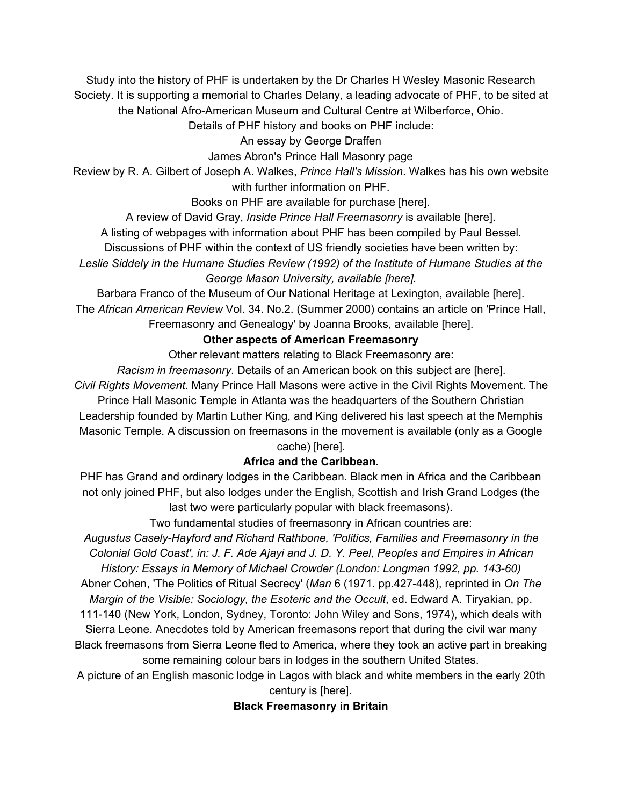Study into the history of PHF is undertaken by the Dr Charles H Wesley Masonic Research Society. It is supporting a memorial to Charles Delany, a leading advocate of PHF, to be sited at the National Afro-American Museum and Cultural Centre at Wilberforce, Ohio.

Details of PHF history and books on PHF include:

An essay by George Draffen

James Abron's Prince Hall Masonry page

Review by R. A. Gilbert of Joseph A. Walkes, *Prince Hall's Mission*. Walkes has his own website with further information on PHF.

Books on PHF are available for purchase [here].

A review of David Gray, *Inside Prince Hall Freemasonry* is available [here].

A listing of webpages with information about PHF has been compiled by Paul Bessel.

Discussions of PHF within the context of US friendly societies have been written by:

*Leslie Siddely in the Humane Studies Review (1992) of the Institute of Humane Studies at the George Mason University, available [here].*

Barbara Franco of the Museum of Our National Heritage at Lexington, available [here]. The *African American Review* Vol. 34. No.2. (Summer 2000) contains an article on 'Prince Hall, Freemasonry and Genealogy' by Joanna Brooks, available [here].

# **Other aspects of American Freemasonry**

Other relevant matters relating to Black Freemasonry are:

*Racism in freemasonry*. Details of an American book on this subject are [here].

*Civil Rights Movement*. Many Prince Hall Masons were active in the Civil Rights Movement. The Prince Hall Masonic Temple in Atlanta was the headquarters of the Southern Christian Leadership founded by Martin Luther King, and King delivered his last speech at the Memphis Masonic Temple. A discussion on freemasons in the movement is available (only as a Google cache) [here].

# **Africa and the Caribbean.**

PHF has Grand and ordinary lodges in the Caribbean. Black men in Africa and the Caribbean not only joined PHF, but also lodges under the English, Scottish and Irish Grand Lodges (the last two were particularly popular with black freemasons).

Two fundamental studies of freemasonry in African countries are:

*Augustus Casely-Hayford and Richard Rathbone, 'Politics, Families and Freemasonry in the Colonial Gold Coast', in: J. F. Ade Ajayi and J. D. Y. Peel, Peoples and Empires in African History: Essays in Memory of Michael Crowder (London: Longman 1992, pp. 143-60)*

Abner Cohen, 'The Politics of Ritual Secrecy' (*Man* 6 (1971. pp.427-448), reprinted in *On The Margin of the Visible: Sociology, the Esoteric and the Occult*, ed. Edward A. Tiryakian, pp.

111-140 (New York, London, Sydney, Toronto: John Wiley and Sons, 1974), which deals with Sierra Leone. Anecdotes told by American freemasons report that during the civil war many Black freemasons from Sierra Leone fled to America, where they took an active part in breaking some remaining colour bars in lodges in the southern United States.

A picture of an English masonic lodge in Lagos with black and white members in the early 20th

century is [here].

# **Black Freemasonry in Britain**